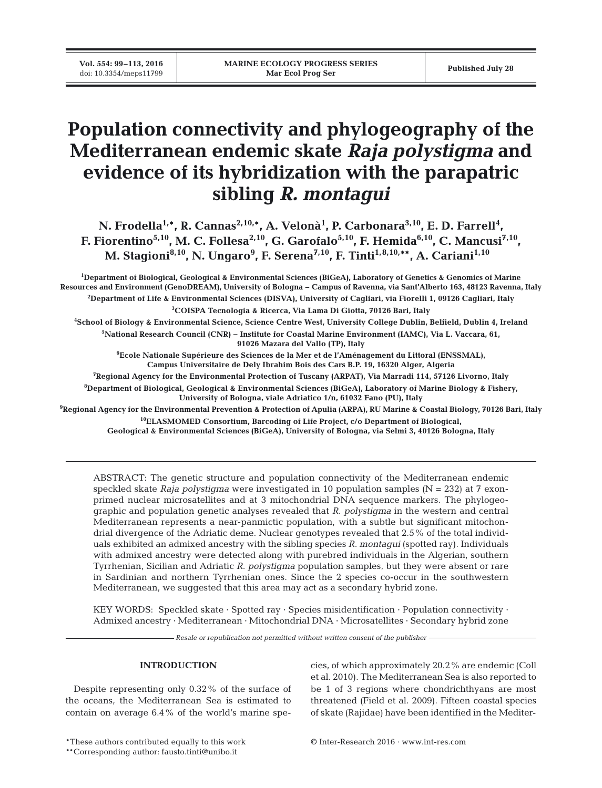**Vol. 554: 99–113, 2016**

# **Population connectivity and phylogeography of the Mediterranean endemic skate** *Raja polystigma* **and evidence of its hybridization with the parapatric sibling** *R. montagui*

N. Frodella<sup>1,\*</sup>, R. Cannas<sup>2,10,\*</sup>, A. Velonà<sup>1</sup>, P. Carbonara<sup>3,10</sup>, E. D. Farrell<sup>4</sup>, **F. Fiorentino<sup>5,10</sup>, M. C. Follesa<sup>2,10</sup>, G. Garofalo<sup>5,10</sup>, F. Hemida<sup>6,10</sup>, C. Mancusi<sup>7,10</sup>, M. Stagioni8,10, N. Ungaro9 , F. Serena7,10, F. Tinti1,8,10,\*\*, A. Cariani1,10**

 **Department of Biological, Geological & Environmental Sciences (BiGeA), Laboratory of Genetics & Genomics of Marine Resources and Environment (GenoDREAM), University of Bologna − Campus of Ravenna, via Sant'Alberto 163, 48123 Ravenna, Italy Department of Life & Environmental Sciences (DISVA), University of Cagliari, via Fiorelli 1, 09126 Cagliari, Italy COISPA Tecnologia & Ricerca, Via Lama Di Giotta, 70126 Bari, Italy School of Biology & Environmental Science, Science Centre West, University College Dublin, Belfield, Dublin 4, Ireland National Research Council (CNR) − Institute for Coastal Marine Environment (IAMC), Via L. Vaccara, 61, 91026 Mazara del Vallo (TP), Italy Ecole Nationale Supérieure des Sciences de la Mer et de l'Aménagement du Littoral (ENSSMAL), Campus Universitaire de Dely Ibrahim Bois des Cars B.P. 19, 16320 Alger, Algeria Regional Agency for the Environmental Protection of Tuscany (ARPAT), Via Marradi 114, 57126 Livorno, Italy Department of Biological, Geological & Environmental Sciences (BiGeA), Laboratory of Marine Biology & Fishery, University of Bologna, viale Adriatico 1/n, 61032 Fano (PU), Italy**

**9 Regional Agency for the Environmental Prevention & Protection of Apulia (ARPA), RU Marine & Coastal Biology, 70126 Bari, Italy 10ELASMOMED Consortium, Barcoding of Life Project, c/o Department of Biological, Geological & Environmental Sciences (BiGeA), University of Bologna, via Selmi 3, 40126 Bologna, Italy**

ABSTRACT: The genetic structure and population connectivity of the Mediterranean endemic speckled skate *Raja polystigma* were investigated in 10 population samples (N = 232) at 7 exonprimed nuclear microsatellites and at 3 mitochondrial DNA sequence markers. The phylogeographic and population genetic analyses revealed that *R. polystigma* in the western and central Mediterranean represents a near-panmictic population, with a subtle but significant mitochondrial divergence of the Adriatic deme. Nuclear genotypes revealed that 2.5% of the total individuals exhibited an admixed ancestry with the sibling species *R. montagui* (spotted ray). Individuals with admixed ancestry were detected along with purebred individuals in the Algerian, southern Tyrrhenian, Sicilian and Adriatic *R. polystigma* population samples, but they were absent or rare in Sardinian and northern Tyrrhenian ones. Since the 2 species co-occur in the southwestern Mediterranean, we suggested that this area may act as a secondary hybrid zone.

KEY WORDS: Speckled skate · Spotted ray · Species misidentification · Population connectivity · Admixed ancestry · Mediterranean · Mitochondrial DNA · Microsatellites · Secondary hybrid zone

*Resale or republication not permitted without written consent of the publisher*

# **INTRODUCTION**

Despite representing only 0.32% of the surface of the oceans, the Mediterranean Sea is estimated to contain on average 6.4% of the world's marine species, of which approximately 20.2% are endemic (Coll et al. 2010). The Mediterranean Sea is also reported to be 1 of 3 regions where chondrichthyans are most threatened (Field et al. 2009). Fifteen coastal species of skate (Rajidae) have been identified in the Mediter-

\*\*Corresponding author: fausto.tinti@unibo.it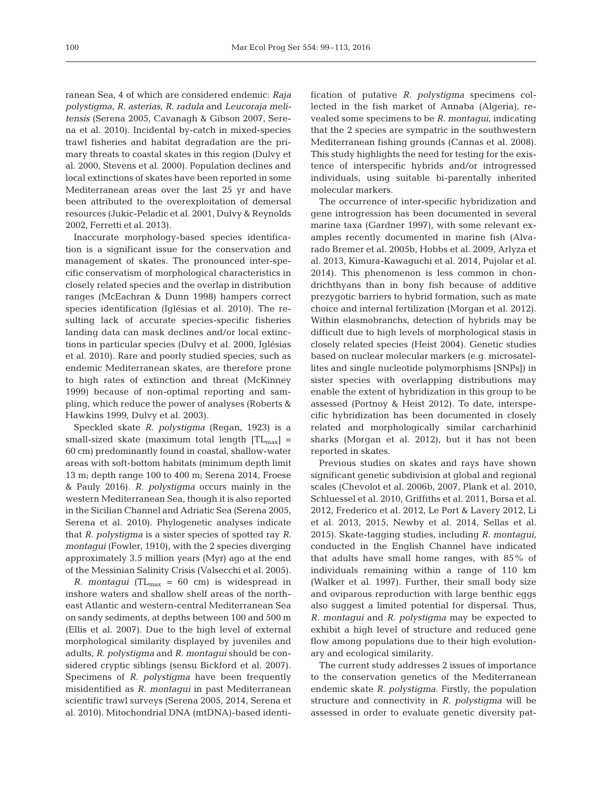ranean Sea, 4 of which are considered endemic: *Raja polystigma*, *R. asterias*, *R. radula* and *Leucoraja meli ten sis* (Serena 2005, Cavanagh & Gibson 2007, Sere na et al. 2010). Incidental by-catch in mixed-species trawl fisheries and habitat degradation are the primary threats to coastal skates in this region (Dulvy et al. 2000, Stevens et al. 2000). Population declines and local extinctions of skates have been reported in some Mediterranean areas over the last 25 yr and have been attributed to the overexploitation of demersal resources (Jukic-Peladic et al. 2001, Dulvy & Reynolds 2002, Ferretti et al. 2013).

Inaccurate morphology-based species identification is a significant issue for the conservation and management of skates. The pronounced inter-specific conservatism of morphological characteristics in closely related species and the overlap in distribution ranges (McEachran & Dunn 1998) hampers correct species identification (Iglésias et al. 2010). The resulting lack of accurate species-specific fisheries landing data can mask declines and/or local extinctions in particular species (Dulvy et al. 2000, Iglésias et al. 2010). Rare and poorly studied species, such as endemic Mediterranean skates, are therefore prone to high rates of extinction and threat (McKinney 1999) because of non-optimal reporting and sampling, which reduce the power of analyses (Roberts & Hawkins 1999, Dulvy et al. 2003).

Speckled skate *R. polystigma* (Regan, 1923) is a small-sized skate (maximum total length  $|TL_{max}|$  = 60 cm) predominantly found in coastal, shallow-water areas with soft-bottom habitats (minimum depth limit 13 m; depth range 100 to 400 m; Serena 2014, Froese & Pauly 2016). *R. polystigma* occurs mainly in the western Mediterranean Sea, though it is also reported in the Sicilian Channel and Adriatic Sea (Serena 2005, Serena et al. 2010). Phylogenetic analyses indicate that *R. polystigma* is a sister species of spotted ray *R. montagui* (Fowler, 1910), with the 2 species diverging approximately 3.5 million years (Myr) ago at the end of the Messinian Salinity Crisis (Valsecchi et al. 2005).

*R. montagui* ( $TL_{max} = 60$  cm) is widespread in inshore waters and shallow shelf areas of the northeast Atlantic and western-central Mediterranean Sea on sandy sediments, at depths between 100 and 500 m (Ellis et al. 2007). Due to the high level of external morphological similarity displayed by juveniles and adults, *R. polystigma* and *R. montagui* should be considered cryptic siblings (sensu Bickford et al. 2007). Specimens of *R. polystigma* have been frequently misidentified as *R. montagui* in past Mediterranean scientific trawl surveys (Serena 2005, 2014, Serena et al. 2010). Mitochondrial DNA (mtDNA)-based identification of putative *R. polystigma* specimens collected in the fish market of Annaba (Algeria), revealed some specimens to be *R. montagui*, indicating that the 2 species are sympatric in the southwestern Mediterranean fishing grounds (Cannas et al. 2008). This study highlights the need for testing for the existence of interspecific hybrids and/or introgressed individuals, using suitable bi-parentally inherited molecular markers.

The occurrence of inter-specific hybridization and gene introgression has been documented in several marine taxa (Gardner 1997), with some relevant examples recently documented in marine fish (Alvarado Bremer et al. 2005b, Hobbs et al. 2009, Arlyza et al. 2013, Kimura-Kawaguchi et al. 2014, Pujolar et al. 2014). This phenomenon is less common in chondrichthyans than in bony fish because of additive prezygotic barriers to hybrid formation, such as mate choice and internal fertilization (Morgan et al. 2012). Within elasmobranchs, detection of hybrids may be difficult due to high levels of morphological stasis in closely related species (Heist 2004). Genetic studies based on nuclear molecular markers (e.g. microsatellites and single nucleotide polymorphisms [SNPs]) in sister species with overlapping distributions may enable the extent of hybridization in this group to be assessed (Portnoy & Heist 2012). To date, interspecific hybridization has been documented in closely related and morphologically similar carcharhinid sharks (Morgan et al. 2012), but it has not been reported in skates.

Previous studies on skates and rays have shown significant genetic subdivision at global and regional scales (Chevolot et al. 2006b, 2007, Plank et al. 2010, Schluessel et al. 2010, Griffiths et al. 2011, Borsa et al. 2012, Frederico et al. 2012, Le Port & Lavery 2012, Li et al. 2013, 2015, Newby et al. 2014, Sellas et al. 2015). Skate-tagging studies, including *R. montagui*, conducted in the English Channel have indicated that adults have small home ranges, with 85% of individuals remaining within a range of 110 km (Walker et al. 1997). Further, their small body size and oviparous reproduction with large benthic eggs also suggest a limited potential for dispersal. Thus, *R. montagui* and *R. polystigma* may be expected to exhibit a high level of structure and reduced gene flow among populations due to their high evolutionary and ecological similarity.

The current study addresses 2 issues of importance to the conservation genetics of the Mediterranean endemic skate *R. polystigma*. Firstly, the population structure and connectivity in *R. polystigma* will be assessed in order to evaluate genetic diversity pat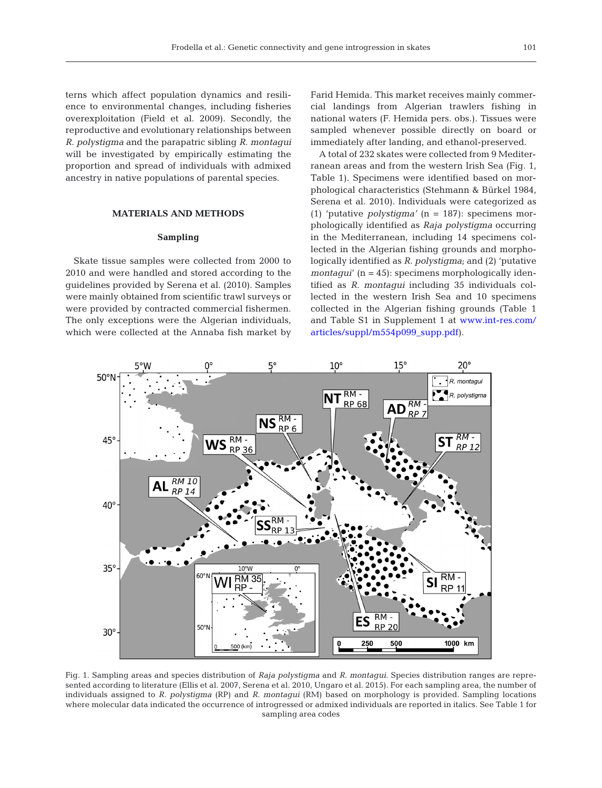terns which affect population dynamics and resilience to environmental changes, including fisheries overexploitation (Field et al. 2009). Secondly, the reproductive and evolutionary relationships between *R. polystigma* and the parapatric sibling *R. montagui* will be investigated by empirically estimating the proportion and spread of individuals with admixed ancestry in native populations of parental species.

# **MATERIALS AND METHODS**

## **Sampling**

Skate tissue samples were collected from 2000 to 2010 and were handled and stored according to the guidelines provided by Serena et al. (2010). Samples were mainly obtained from scientific trawl surveys or were provided by contracted commercial fishermen. The only exceptions were the Algerian individuals, which were collected at the Annaba fish market by

Farid Hemida. This market receives mainly commercial landings from Algerian trawlers fishing in national waters (F. Hemida pers. obs.). Tissues were sampled whenever possible directly on board or immediately after landing, and ethanol-preserved.

A total of 232 skates were collected from 9 Mediterranean areas and from the western Irish Sea (Fig. 1, Table 1). Specimens were identified based on morphological characteristics (Stehmann & Bürkel 1984, Serena et al. 2010). Individuals were categorized as (1) 'putative *polystigma'* (n = 187): specimens morphologically identified as *Raja polystigma* occurring in the Mediterranean, including 14 specimens collected in the Algerian fishing grounds and morphologically identified as *R. polystigma*; and (2) 'putative *montaqui'* (n = 45): specimens morphologically identified as *R. montagui* including 35 individuals collected in the western Irish Sea and 10 specimens collected in the Algerian fishing grounds (Table 1 and Table S1 in Supplement 1 at [www.int-res.com/](http://www.int-res.com/articles/suppl/m554p099_supp.pdf) articles/suppl/m554p099\_supp.pdf).



Fig. 1. Sampling areas and species distribution of *Raja polystigma* and *R. montagui*. Species distribution ranges are represented according to literature (Ellis et al. 2007, Serena et al. 2010, Ungaro et al. 2015). For each sampling area, the number of individuals assigned to *R. polystigma* (RP) and *R. montagui* (RM) based on morphology is provided. Sampling locations where molecular data indicated the occurrence of introgressed or admixed individuals are reported in italics. See Table 1 for sampling area codes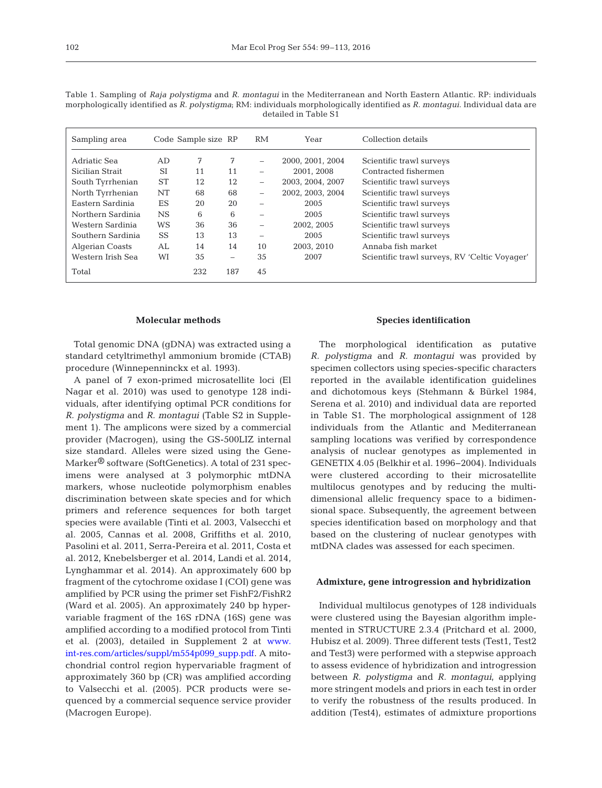| Sampling area     |           | Code Sample size RP |     | <b>RM</b>                | Year             | Collection details                            |
|-------------------|-----------|---------------------|-----|--------------------------|------------------|-----------------------------------------------|
| Adriatic Sea      | AD        | 7                   | 7   | -                        | 2000. 2001. 2004 | Scientific trawl surveys                      |
| Sicilian Strait   | <b>SI</b> | 11                  | 11  | $\qquad \qquad$          | 2001.2008        | Contracted fishermen                          |
| South Tyrrhenian  | <b>ST</b> | 12                  | 12  | $\overline{\phantom{0}}$ | 2003. 2004. 2007 | Scientific trawl surveys                      |
| North Tyrrhenian  | NT        | 68                  | 68  |                          | 2002. 2003. 2004 | Scientific trawl surveys                      |
| Eastern Sardinia  | ES        | 20                  | 20  |                          | 2005             | Scientific trawl surveys                      |
| Northern Sardinia | <b>NS</b> | 6                   | 6   |                          | 2005             | Scientific trawl surveys                      |
| Western Sardinia  | WS        | 36                  | 36  | -                        | 2002.2005        | Scientific trawl surveys                      |
| Southern Sardinia | SS        | 13                  | 13  |                          | 2005             | Scientific trawl surveys                      |
| Algerian Coasts   | AL        | 14                  | 14  | 10                       | 2003.2010        | Annaba fish market                            |
| Western Irish Sea | WI        | 35                  | -   | 35                       | 2007             | Scientific trawl surveys, RV 'Celtic Voyager' |
| Total             |           | 232                 | 187 | 45                       |                  |                                               |

Table 1. Sampling of *Raja polystigma* and *R. montagui* in the Mediterranean and North Eastern Atlantic. RP: individuals morphologically identified as *R. polystigma*; RM: individuals morphologically identified as *R. montagui*. Individual data are detailed in Table S1

#### **Molecular methods**

Total genomic DNA (gDNA) was extracted using a standard cetyltrimethyl ammonium bromide (CTAB) procedure (Winnepenninckx et al. 1993).

A panel of 7 exon-primed microsatellite loci (El Nagar et al. 2010) was used to genotype 128 individuals, after identifying optimal PCR conditions for *R. polystigma* and *R. montagui* (Table S2 in Supplement 1). The amplicons were sized by a commercial provider (Macrogen), using the GS-500LIZ internal size standard. Alleles were sized using the Gene-Marker® software (SoftGenetics). A total of 231 specimens were analysed at 3 polymorphic mtDNA markers, whose nucleotide polymorphism enables discrimination between skate species and for which primers and reference sequences for both target species were available (Tinti et al. 2003, Valsecchi et al. 2005, Cannas et al. 2008, Griffiths et al. 2010, Pasolini et al. 2011, Serra-Pereira et al. 2011, Costa et al. 2012, Knebelsberger et al. 2014, Landi et al. 2014, Lynghammar et al. 2014). An approximately 600 bp fragment of the cytochrome oxidase I (COI) gene was amplified by PCR using the primer set FishF2/FishR2 (Ward et al. 2005). An approximately 240 bp hypervariable fragment of the 16S rDNA (16S) gene was amplified according to a modified protocol from Tinti et al. (2003), detailed in Supplement 2 at [www.](http://www.int-res.com/articles/suppl/m554p099_supp.pdf) int-res.com/articles/suppl/m554p099\_supp.pdf. A mitochondrial control region hypervariable fragment of approximately 360 bp (CR) was amplified according to Valsecchi et al. (2005). PCR products were sequenced by a commercial sequence service provider (Macrogen Europe).

## **Species identification**

The morphological identification as putative *R. polystigma* and *R. montagui* was provided by specimen collectors using species-specific characters re ported in the available identification guidelines and dichotomous keys (Stehmann & Bürkel 1984, Serena et al. 2010) and individual data are reported in Table S1. The morphological assignment of 128 individuals from the Atlantic and Mediterranean sampling locations was verified by correspondence analysis of nuclear genotypes as implemented in GENETIX 4.05 (Belkhir et al. 1996−2004). Individuals were clustered according to their microsatellite multilocus genotypes and by reducing the multidimensional allelic frequency space to a bidimensional space. Subsequently, the agreement between species identification based on morphology and that based on the clustering of nuclear genotypes with mtDNA clades was assessed for each specimen.

## **Admixture, gene introgression and hybridization**

Individual multilocus genotypes of 128 individuals were clustered using the Bayesian algorithm implemented in STRUCTURE 2.3.4 (Pritchard et al. 2000, Hubisz et al. 2009). Three different tests (Test1, Test2 and Test3) were performed with a stepwise approach to assess evidence of hybridization and introgression between *R. polystigma* and *R. montagui*, applying more stringent models and priors in each test in order to verify the robustness of the results produced. In addition (Test4), estimates of admixture proportions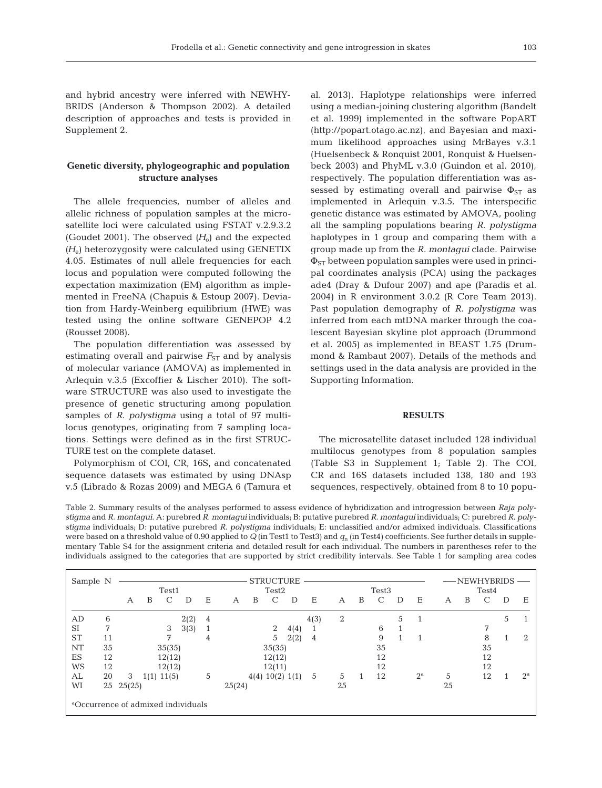and hybrid ancestry were inferred with NEWHY-BRIDS (Anderson & Thompson 2002). A detailed description of approaches and tests is provided in Supplement 2.

# **Genetic diversity, phylogeographic and population structure analyses**

The allele frequencies, number of alleles and allelic richness of population samples at the microsatellite loci were calculated using FSTAT v.2.9.3.2 (Goudet 2001). The observed  $(H_0)$  and the expected *(H<sub>e</sub>)* heterozygosity were calculated using GENETIX 4.05. Estimates of null allele frequencies for each locus and population were computed following the expectation maximization (EM) algorithm as implemented in FreeNA (Chapuis & Estoup 2007). Deviation from Hardy-Weinberg equilibrium (HWE) was tested using the online software GENEPOP 4.2 (Rousset 2008).

The population differentiation was assessed by estimating overall and pairwise  $F_{ST}$  and by analysis of molecular variance (AMOVA) as implemented in Arlequin v.3.5 (Excoffier & Lischer 2010). The software STRUCTURE was also used to investigate the presence of genetic structuring among population samples of *R. polystigma* using a total of 97 multilocus genotypes, originating from 7 sampling locations. Settings were defined as in the first STRUC-TURE test on the complete dataset.

Polymorphism of COI, CR, 16S, and concatenated sequence datasets was estimated by using DNAsp v.5 (Librado & Rozas 2009) and MEGA 6 (Tamura et al. 2013). Haplotype relationships were inferred using a median-joining clustering algorithm (Bandelt et al. 1999) implemented in the software PopART (http://popart.otago.ac.nz), and Bayesian and maximum likelihood approaches using MrBayes v.3.1 (Huelsenbeck & Ronquist 2001, Ronquist & Huelsenbeck 2003) and PhyML v.3.0 (Guindon et al. 2010), respectively. The population differentiation was as sessed by estimating overall and pairwise  $\Phi_{ST}$  as implemented in Arlequin v.3.5. The interspecific genetic distance was estimated by AMOVA, pooling all the sampling populations bearing *R. polystigma* haplotypes in 1 group and comparing them with a group made up from the *R. montagui* clade. Pairwise  $\Phi_{ST}$  between population samples were used in principal coordinates analysis (PCA) using the packages ade4 (Dray & Dufour 2007) and ape (Paradis et al. 2004) in R environment 3.0.2 (R Core Team 2013). Past population demography of *R. polystigma* was inferred from each mtDNA marker through the coalescent Bayesian skyline plot approach (Drummond et al. 2005) as implemented in BEAST 1.75 (Drummond & Rambaut 2007). Details of the methods and settings used in the data analysis are provided in the Supporting Information.

## **RESULTS**

The microsatellite dataset included 128 individual multilocus genotypes from 8 population samples (Table S3 in Supplement 1; Table 2). The COI, CR and 16S datasets included 138, 180 and 193 sequences, respectively, obtained from 8 to 10 popu-

Table 2. Summary results of the analyses performed to assess evidence of hybridization and introgression between *Raja polystigma* and *R. montagui*. A: purebred *R. montagui* individuals; B: putative purebred *R. montagui* individuals; C: purebred *R. polystigma* individuals; D: putative purebred *R. polystigma* individuals; E: unclassified and/or admixed individuals. Classifications were based on a threshold value of 0.90 applied to  $Q$  (in Test1 to Test3) and  $q_n$  (in Test4) coefficients. See further details in supplementary Table S4 for the assignment criteria and detailed result for each individual. The numbers in parentheses refer to the individuals assigned to the categories that are supported by strict credibility intervals. See Table 1 for sampling area codes

| Sample N  |    |        |   | Test1          |                                                |   | <b>STRUCTURE</b><br>Test <sub>2</sub> |   |        |                 |      |    | Test <sub>3</sub> |    |   | -NEWHYBRIDS<br>Test4 |    |   |    |   |             |
|-----------|----|--------|---|----------------|------------------------------------------------|---|---------------------------------------|---|--------|-----------------|------|----|-------------------|----|---|----------------------|----|---|----|---|-------------|
|           |    | А      | B | $\mathcal{C}$  | D                                              | Ε | А                                     | В | C      | D               | Ε    | А  | B                 | C  | D | Ε                    | А  | B |    | D | Ε           |
| AD        | 6  |        |   |                | 2(2)                                           | 4 |                                       |   |        |                 | 4(3) | 2  |                   |    | 5 | 1                    |    |   |    | 5 |             |
| <b>SI</b> | 7  |        |   | 3              | 3(3)                                           | 1 |                                       |   | 2      | 4(4)            |      |    |                   | 6  |   |                      |    |   | 7  |   |             |
| <b>ST</b> | 11 |        |   | 7              |                                                | 4 |                                       |   | 5      | 2(2)            | 4    |    |                   | 9  |   | 1                    |    |   | 8  |   | 2           |
| NT        | 35 |        |   | 35(35)         |                                                |   |                                       |   | 35(35) |                 |      |    |                   | 35 |   |                      |    |   | 35 |   |             |
| ES        | 12 |        |   | 12(12)         |                                                |   |                                       |   | 12(12) |                 |      |    |                   | 12 |   |                      |    |   | 12 |   |             |
| WS        | 12 |        |   | 12(12)         |                                                |   |                                       |   | 12(11) |                 |      |    |                   | 12 |   |                      |    |   | 12 |   |             |
| AL        | 20 | 3      |   | $1(1)$ $11(5)$ |                                                | 5 |                                       |   |        | 4(4) 10(2) 1(1) | 5    | 5  |                   | 12 |   | $2^{\rm a}$          | 5  |   | 12 |   | $2^{\rm a}$ |
| WI        | 25 | 25(25) |   |                |                                                |   | 25(24)                                |   |        |                 |      | 25 |                   |    |   |                      | 25 |   |    |   |             |
|           |    |        |   |                | <sup>a</sup> Occurrence of admixed individuals |   |                                       |   |        |                 |      |    |                   |    |   |                      |    |   |    |   |             |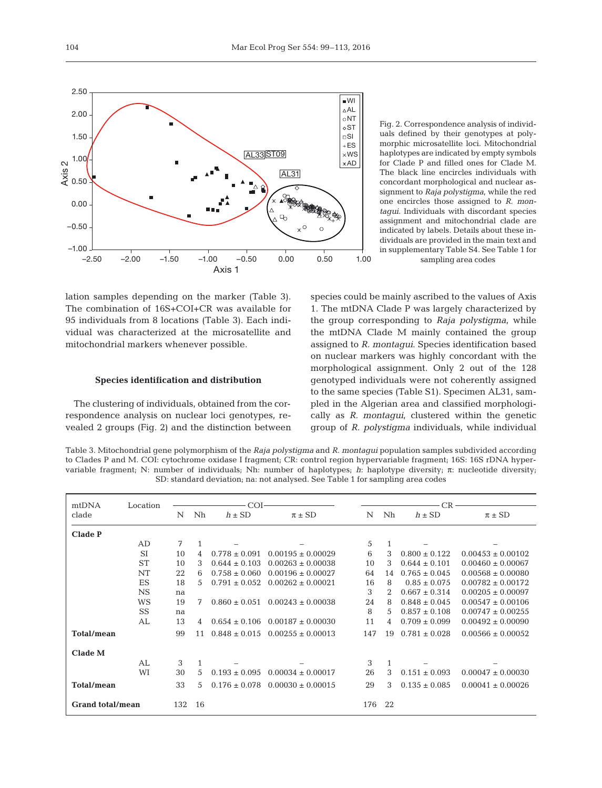

Fig. 2. Correspondence analysis of individuals defined by their genotypes at polymorphic microsatellite loci. Mitochondrial haplotypes are indicated by empty symbols for Clade P and filled ones for Clade M. The black line encircles individuals with concordant morphological and nuclear assignment to *Raja polystigma*, while the red one encircles those assigned to *R. montagui*. Individuals with discordant species assignment and mitochondrial clade are indicated by labels. Details about these individuals are provided in the main text and in supplementary Table S4. See Table 1 for sampling area codes

lation samples depending on the marker (Table 3). The combination of 16S+COI+CR was available for 95 individuals from 8 locations (Table 3). Each individual was characterized at the microsatellite and mitochondrial markers whenever possible.

## **Species identification and distribution**

The clustering of individuals, obtained from the correspondence analysis on nuclear loci genotypes, revealed 2 groups (Fig. 2) and the distinction between species could be mainly ascribed to the values of Axis 1. The mtDNA Clade P was largely characterized by the group corresponding to Raja polystigma, while the mtDNA Clade M mainly contained the group assigned to *R. montagui*. Species identification based on nuclear markers was highly concordant with the morphological assignment. Only 2 out of the 128 genotyped individuals were not coherently assigned to the same species (Table S1). Specimen AL31, sampled in the Algerian area and classified morphologically as *R. montagui*, clustered within the genetic group of *R. polystigma* individuals, while individual

Table 3. Mitochondrial gene polymorphism of the *Raja polystigma* and *R. montagui* population samples subdivided according to Clades P and M. COI: cytochrome oxidase I fragment; CR: control region hypervariable fragment; 16S: 16S rDNA hypervariable fragment; N: number of individuals; Nh: number of haplotypes; *h*: haplotype diversity; π: nucleotide diversity; SD: standard deviation; na: not analysed. See Table 1 for sampling area codes

| mtDNA                   | Location  |     |                | COI               |                                         |     | CR             |                   |                       |  |  |  |
|-------------------------|-----------|-----|----------------|-------------------|-----------------------------------------|-----|----------------|-------------------|-----------------------|--|--|--|
| clade                   |           | N   | Nh             | $h \pm SD$        | $\pi \pm SD$                            | N   | Nh             | $h \pm SD$        | $\pi \pm SD$          |  |  |  |
| <b>Clade P</b>          |           |     |                |                   |                                         |     |                |                   |                       |  |  |  |
|                         | AD        | 7   | $\mathbf{1}$   |                   |                                         | 5   | 1              |                   |                       |  |  |  |
|                         | <b>SI</b> | 10  | 4              | $0.778 \pm 0.091$ | $0.00195 \pm 0.00029$                   | 6   | 3              | $0.800 \pm 0.122$ | $0.00453 \pm 0.00102$ |  |  |  |
|                         | <b>ST</b> | 10  | 3              | $0.644 \pm 0.103$ | $0.00263 \pm 0.00038$                   | 10  | 3              | $0.644 \pm 0.101$ | $0.00460 \pm 0.00067$ |  |  |  |
|                         | NT        | 22  | 6              | $0.758 \pm 0.060$ | $0.00196 \pm 0.00027$                   | 64  | 14             | $0.765 \pm 0.045$ | $0.00568 \pm 0.00080$ |  |  |  |
|                         | ES        | 18  | .5             | $0.791 \pm 0.052$ | $0.00262 \pm 0.00021$                   | 16  | 8              | $0.85 \pm 0.075$  | $0.00782 \pm 0.00172$ |  |  |  |
|                         | <b>NS</b> | na  |                |                   |                                         | 3   | $\mathfrak{D}$ | $0.667 \pm 0.314$ | $0.00205 \pm 0.00097$ |  |  |  |
|                         | WS        | 19  | 7              |                   | $0.860 \pm 0.051$ $0.00243 \pm 0.00038$ | 24  | 8              | $0.848 \pm 0.045$ | $0.00547 \pm 0.00106$ |  |  |  |
|                         | SS        | na  |                |                   |                                         | 8   | 5              | $0.857 \pm 0.108$ | $0.00747 \pm 0.00255$ |  |  |  |
|                         | AL        | 13  | $\overline{4}$ |                   | $0.654 \pm 0.106$ $0.00187 \pm 0.00030$ | 11  | 4              | $0.709 \pm 0.099$ | $0.00492 \pm 0.00090$ |  |  |  |
| <b>Total/mean</b>       |           | 99  | 11             |                   | $0.848 \pm 0.015$ $0.00255 \pm 0.00013$ | 147 | 19             | $0.781 \pm 0.028$ | $0.00566 \pm 0.00052$ |  |  |  |
| Clade M                 |           |     |                |                   |                                         |     |                |                   |                       |  |  |  |
|                         | AL        | 3   | $\mathbf{1}$   |                   |                                         | 3   | 1              |                   |                       |  |  |  |
|                         | WI        | 30  | 5              | $0.193 \pm 0.095$ | $0.00034 \pm 0.00017$                   | 26  | 3              | $0.151 \pm 0.093$ | $0.00047 \pm 0.00030$ |  |  |  |
| <b>Total/mean</b>       |           | 33  | .5             | $0.176 \pm 0.078$ | $0.00030 \pm 0.00015$                   | 29  | 3              | $0.135 \pm 0.085$ | $0.00041 \pm 0.00026$ |  |  |  |
| <b>Grand total/mean</b> |           | 132 | 16             |                   |                                         | 176 | 22             |                   |                       |  |  |  |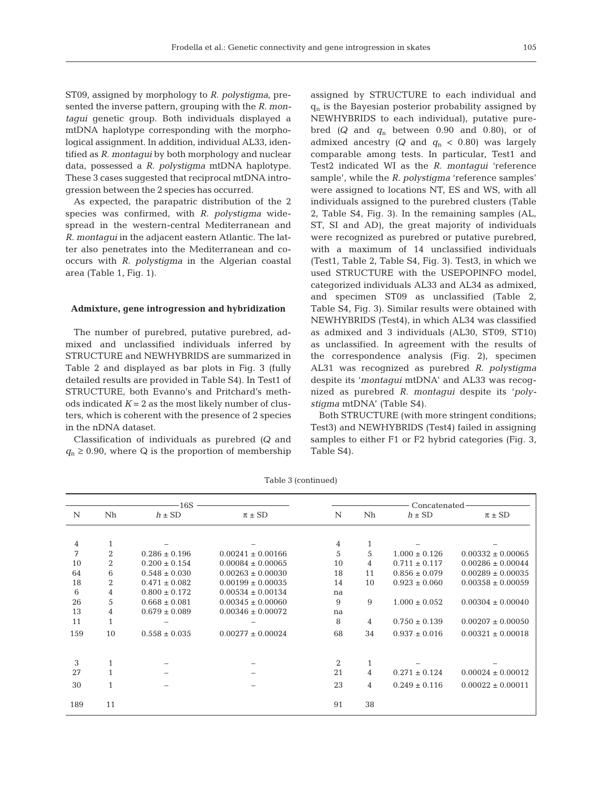ST09, assigned by morphology to *R. polystigma*, presented the inverse pattern, grouping with the *R. montagui* genetic group. Both individuals displayed a mtDNA haplotype corresponding with the morphological assignment. In addition, individual AL33, identified as *R. montagui* by both morphology and nuclear data, possessed a *R. polystigma* mtDNA haplotype. These 3 cases suggested that reciprocal mtDNA introgression between the 2 species has occurred.

As expected, the parapatric distribution of the 2 species was confirmed, with *R. polystigma* widespread in the western-central Mediterranean and *R. montagui* in the adjacent eastern Atlantic. The latter also penetrates into the Mediterranean and cooccurs with *R. polystigma* in the Algerian coastal area (Table 1, Fig. 1).

#### **Admixture, gene introgression and hybridization**

The number of purebred, putative purebred, admixed and unclassified individuals inferred by STRUCTURE and NEWHYBRIDS are summarized in Table 2 and displayed as bar plots in Fig. 3 (fully detailed results are provided in Table S4). In Test1 of STRUCTURE, both Evanno's and Pritchard's methods indicated  $K = 2$  as the most likely number of clusters, which is coherent with the presence of 2 species in the nDNA dataset.

Classification of individuals as purebred *(Q* and  $q_n \geq 0.90$ , where Q is the proportion of membership assigned by STRUCTURE to each individual and  $q_n$  is the Bayesian posterior probability assigned by NEWHYBRIDS to each individual), putative purebred  $(Q \text{ and } q_{n} \text{ between } 0.90 \text{ and } 0.80)$ , or of admixed ancestry  $(Q \text{ and } q_n < 0.80)$  was largely comparable among tests. In particular, Test1 and Test2 indicated WI as the *R. montagui* 'reference sample', while the *R. polystigma* 'reference samples' were assigned to locations NT, ES and WS, with all individuals assigned to the purebred clusters (Table 2, Table S4, Fig. 3). In the remaining samples (AL, ST, SI and AD), the great majority of individuals were recognized as purebred or putative purebred, with a maximum of 14 unclassified individuals (Test1, Table 2, Table S4, Fig. 3). Test3, in which we used STRUCTURE with the USEPOPINFO model, categorized individuals AL33 and AL34 as admixed, and specimen ST09 as unclassified (Table 2, Table S4, Fig. 3). Similar results were obtained with NEWHYBRIDS (Test4), in which AL34 was classified as admixed and 3 individuals (AL30, ST09, ST10) as unclassified. In agreement with the results of the correspondence analysis (Fig. 2), specimen AL31 was recognized as purebred *R. polystigma* despite its '*montagui* mtDNA' and AL33 was recognized as pure bred *R. montagui* despite its '*polystigma* mtDNA' (Table S4).

Both STRUCTURE (with more stringent conditions; Test3) and NEWHYBRIDS (Test4) failed in assigning samples to either F1 or F2 hybrid categories (Fig. 3, Table S4).

|     |                | 16S               |                       |    |    | Concatenated      |                       |  |
|-----|----------------|-------------------|-----------------------|----|----|-------------------|-----------------------|--|
| N   | Nh             | $h \pm SD$        | $\pi \pm SD$          | N  | Nh | $h \pm SD$        | $\pi \pm SD$          |  |
| 4   | $\mathbf{1}$   |                   |                       | 4  |    |                   |                       |  |
| 7   | $\overline{2}$ | $0.286 \pm 0.196$ | $0.00241 \pm 0.00166$ | 5  | 5  | $1.000 \pm 0.126$ | $0.00332 \pm 0.00065$ |  |
| 10  | 2              | $0.200 \pm 0.154$ | $0.00084 \pm 0.00065$ | 10 | 4  | $0.711 \pm 0.117$ | $0.00286 \pm 0.00044$ |  |
| 64  | 6              | $0.548 \pm 0.030$ | $0.00263 \pm 0.00030$ | 18 | 11 | $0.856 \pm 0.079$ | $0.00289 \pm 0.00035$ |  |
| 18  | 2              | $0.471 \pm 0.082$ | $0.00199 \pm 0.00035$ | 14 | 10 | $0.923 \pm 0.060$ | $0.00358 \pm 0.00059$ |  |
| 6   | $\overline{4}$ | $0.800 \pm 0.172$ | $0.00534 \pm 0.00134$ | na |    |                   |                       |  |
| 26  | 5              | $0.668 \pm 0.081$ | $0.00345 \pm 0.00060$ | 9  | 9  | $1.000 \pm 0.052$ | $0.00304 \pm 0.00040$ |  |
| 13  | 4              | $0.679 \pm 0.089$ | $0.00346 \pm 0.00072$ | na |    |                   |                       |  |
| 11  | $\mathbf{1}$   |                   |                       | 8  | 4  | $0.750 \pm 0.139$ | $0.00207 \pm 0.00050$ |  |
| 159 | 10             | $0.558 \pm 0.035$ | $0.00277 \pm 0.00024$ | 68 | 34 | $0.937 \pm 0.016$ | $0.00321 \pm 0.00018$ |  |
| 3   | $\mathbf{1}$   |                   |                       | 2  |    |                   |                       |  |
| 27  | $\mathbf{1}$   |                   |                       | 21 | 4  | $0.271 \pm 0.124$ | $0.00024 \pm 0.00012$ |  |
| 30  | $\mathbf{1}$   |                   |                       | 23 | 4  | $0.249 \pm 0.116$ | $0.00022 \pm 0.00011$ |  |
| 189 | 11             |                   |                       | 91 | 38 |                   |                       |  |

Table 3 (continued)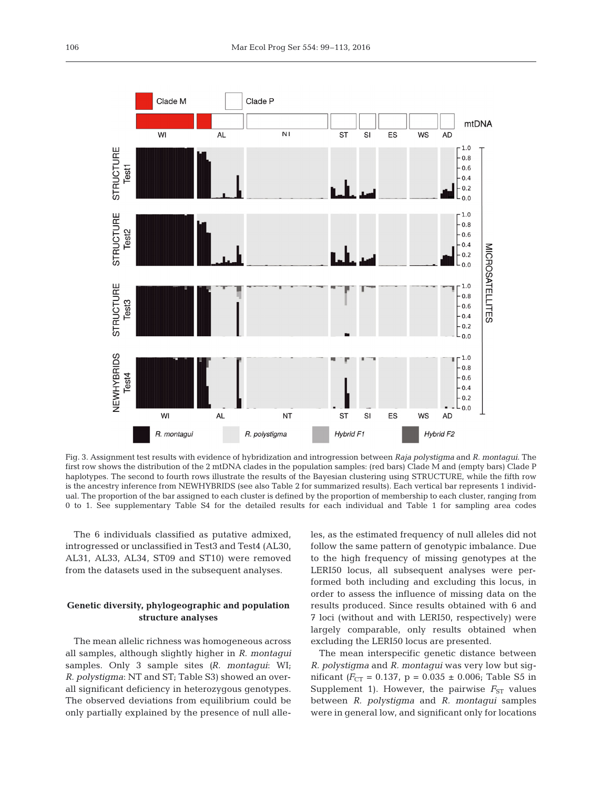

Fig. 3. Assignment test results with evidence of hybridization and introgression between *Raja polystigma* and *R. montagui*. The first row shows the distribution of the 2 mtDNA clades in the population samples: (red bars) Clade M and (empty bars) Clade P haplotypes. The second to fourth rows illustrate the results of the Bayesian clustering using STRUCTURE, while the fifth row is the ancestry inference from NEWHYBRIDS (see also Table 2 for summarized results). Each vertical bar represents 1 individual. The proportion of the bar assigned to each cluster is defined by the proportion of membership to each cluster, ranging from 0 to 1. See supplementary Table S4 for the detailed results for each individual and Table 1 for sampling area codes

The 6 individuals classified as putative admixed, introgressed or unclassified in Test3 and Test4 (AL30, AL31, AL33, AL34, ST09 and ST10) were removed from the datasets used in the subsequent analyses.

# **Genetic diversity, phylogeographic and population structure analyses**

The mean allelic richness was homogeneous across all samples, although slightly higher in *R. montagui* samples. Only 3 sample sites *(R. montagui*: WI; *R. poly stigma*: NT and ST; Table S3) showed an overall significant deficiency in heterozygous genotypes. The observed deviations from equilibrium could be only partially explained by the presence of null alleles, as the estimated frequency of null alleles did not follow the same pattern of genotypic imbalance. Due to the high frequency of missing genotypes at the LERI50 locus, all subsequent analyses were performed both including and excluding this locus, in order to assess the influence of missing data on the results produced. Since results obtained with 6 and 7 loci (without and with LERI50, respectively) were largely comparable, only results obtained when excluding the LERI50 locus are presented.

The mean interspecific genetic distance between *R. polystigma* and *R. montagui* was very low but significant  $(F_{CT} = 0.137, p = 0.035 \pm 0.006;$  Table S5 in Supplement 1). However, the pairwise  $F_{ST}$  values between *R. polystigma* and *R. montagui* samples were in general low, and significant only for locations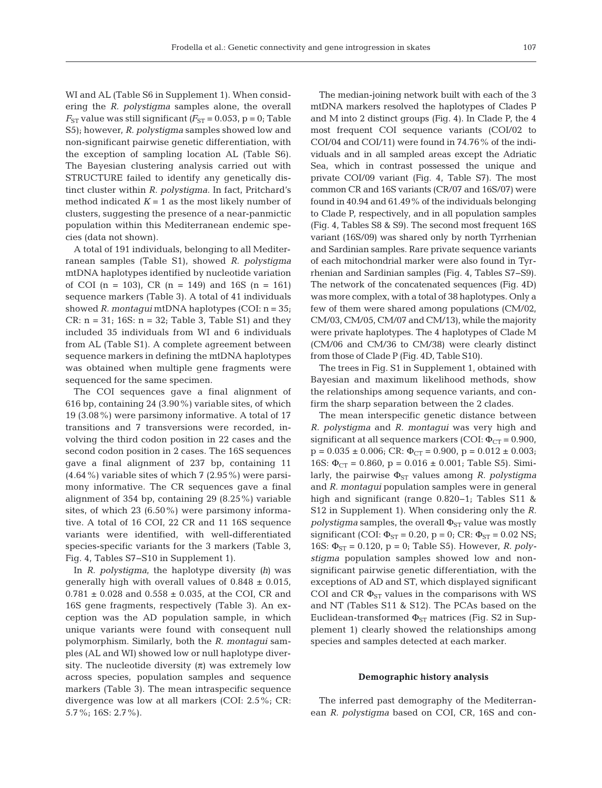WI and AL (Table S6 in Supplement 1). When considering the *R. polystigma* samples alone, the overall  $F_{ST}$  value was still significant  $(F_{ST} = 0.053, p = 0;$  Table S5); however, *R. polystigma* samples showed low and non-significant pairwise genetic differentiation, with the exception of sampling location AL (Table S6). The Bayesian clustering analysis carried out with STRUCTURE failed to identify any genetically distinct cluster within *R. polystigma*. In fact, Pritchard's method indicated  $K = 1$  as the most likely number of clusters, suggesting the presence of a near-panmictic population within this Mediterranean endemic species (data not shown).

A total of 191 individuals, belonging to all Mediterranean samples (Table S1), showed *R. polystigma* mtDNA haplotypes identified by nucleotide variation of COI  $(n = 103)$ , CR  $(n = 149)$  and 16S  $(n = 161)$ sequence markers (Table 3). A total of 41 individuals showed *R. montagui* mtDNA haplotypes (COI: n = 35; CR:  $n = 31$ ; 16S:  $n = 32$ ; Table 3, Table S1) and they included 35 individuals from WI and 6 individuals from AL (Table S1). A complete agreement between sequence markers in defining the mtDNA haplotypes was obtained when multiple gene fragments were sequenced for the same specimen.

The COI sequences gave a final alignment of 616 bp, containing 24 (3.90%) variable sites, of which 19 (3.08%) were parsimony informative. A total of 17 transitions and 7 transversions were recorded, in volving the third codon position in 22 cases and the second codon position in 2 cases. The 16S sequences gave a final alignment of 237 bp, containing 11  $(4.64\%)$  variable sites of which 7  $(2.95\%)$  were parsimony informative. The CR sequences gave a final alignment of 354 bp, containing 29 (8.25%) variable sites, of which 23 (6.50%) were parsimony informative. A total of 16 COI, 22 CR and 11 16S sequence variants were identified, with well-differentiated species-specific variants for the 3 markers (Table 3, Fig. 4, Tables S7−S10 in Supplement 1).

In *R. polystigma*, the haplotype diversity *(h)* was generally high with overall values of  $0.848 \pm 0.015$ ,  $0.781 \pm 0.028$  and  $0.558 \pm 0.035$ , at the COI, CR and 16S gene fragments, respectively (Table 3). An ex ception was the AD population sample, in which unique variants were found with consequent null polymorphism. Similarly, both the *R. montagui* samples (AL and WI) showed low or null haplotype diversity. The nucleotide diversity  $(\pi)$  was extremely low across species, population samples and sequence markers (Table 3). The mean intraspecific sequence divergence was low at all markers (COI: 2.5%; CR: 5.7%; 16S: 2.7%).

The median-joining network built with each of the 3 mtDNA markers resolved the haplotypes of Clades P and M into 2 distinct groups (Fig. 4). In Clade P, the 4 most frequent COI sequence variants (COI/02 to COI/04 and COI/11) were found in 74.76% of the individuals and in all sampled areas except the Adriatic Sea, which in contrast possessed the unique and private COI/09 variant (Fig. 4, Table S7). The most common CR and 16S variants (CR/07 and 16S/07) were found in 40.94 and 61.49% of the individuals belonging to Clade P, respectively, and in all population samples (Fig. 4, Tables S8 & S9). The second most frequent 16S variant (16S/09) was shared only by north Tyrrhenian and Sardinian samples. Rare private sequence variants of each mitochondrial marker were also found in Tyr rhenian and Sardinian samples (Fig. 4, Tables S7−S9). The network of the concatenated sequences (Fig. 4D) was more complex, with a total of 38 haplotypes. Only a few of them were shared among populations (CM/02, CM/03, CM/05, CM/07 and CM/13), while the majority were private haplotypes. The 4 haplotypes of Clade M (CM/06 and CM/36 to CM/38) were clearly distinct from those of Clade P (Fig. 4D, Table S10).

The trees in Fig. S1 in Supplement 1, obtained with Bayesian and maximum likelihood methods, show the relationships among sequence variants, and confirm the sharp separation between the 2 clades.

The mean interspecific genetic distance between *R. polystigma* and *R. montagui* was very high and significant at all sequence markers (COI:  $\Phi_{CT} = 0.900$ ,  $p = 0.035 \pm 0.006$ ; CR:  $\Phi_{CT} = 0.900$ ,  $p = 0.012 \pm 0.003$ ; 16S:  $\Phi_{CT} = 0.860$ , p = 0.016 ± 0.001; Table S5). Similarly, the pairwise  $\Phi_{ST}$  values among *R. polystigma* and *R. montagui* population samples were in general high and significant (range 0.820−1; Tables S11 & S12 in Supplement 1). When considering only the *R. polystigma* samples, the overall  $\Phi_{ST}$  value was mostly significant (COI:  $\Phi_{ST} = 0.20$ ,  $p = 0$ ; CR:  $\Phi_{ST} = 0.02$  NS; 16S:  $\Phi_{ST} = 0.120$ ,  $p = 0$ ; Table S5). However, *R. polystigma* population samples showed low and nonsignificant pairwise genetic differentiation, with the exceptions of AD and ST, which displayed significant COI and CR  $\Phi_{ST}$  values in the comparisons with WS and NT (Tables S11 & S12). The PCAs based on the Euclidean-transformed  $\Phi_{ST}$  matrices (Fig. S2 in Supplement 1) clearly showed the relationships among species and samples detected at each marker.

#### **Demographic history analysis**

The inferred past demography of the Mediterranean *R. polystigma* based on COI, CR, 16S and con-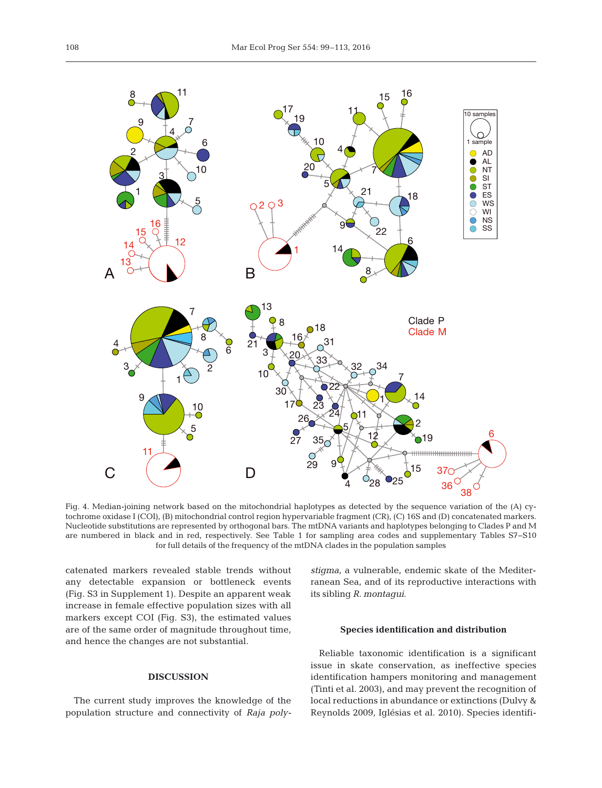

Fig. 4. Median-joining network based on the mitochondrial haplotypes as detected by the sequence variation of the (A) cytochrome oxidase I (COI), (B) mitochondrial control region hypervariable fragment (CR), (C) 16S and (D) concatenated markers. Nucleotide substitutions are represented by orthogonal bars. The mtDNA variants and haplotypes belonging to Clades P and M are numbered in black and in red, respectively. See Table 1 for sampling area codes and supplementary Tables S7−S10 for full details of the frequency of the mtDNA clades in the population samples

catenated markers revealed stable trends without any detectable expansion or bottleneck events (Fig. S3 in Supplement 1). Despite an apparent weak increase in female effective population sizes with all markers except COI (Fig. S3), the estimated values are of the same order of magnitude throughout time, and hence the changes are not substantial.

## **DISCUSSION**

The current study improves the knowledge of the population structure and connectivity of *Raja poly-*

*stigma*, a vulnerable, endemic skate of the Mediterranean Sea, and of its reproductive interactions with its sibling *R. montagui*.

#### **Species identification and distribution**

Reliable taxonomic identification is a significant issue in skate conservation, as ineffective species identification hampers monitoring and management (Tinti et al. 2003), and may prevent the recognition of local reductions in abundance or extinctions (Dulvy & Reynolds 2009, Iglésias et al. 2010). Species identifi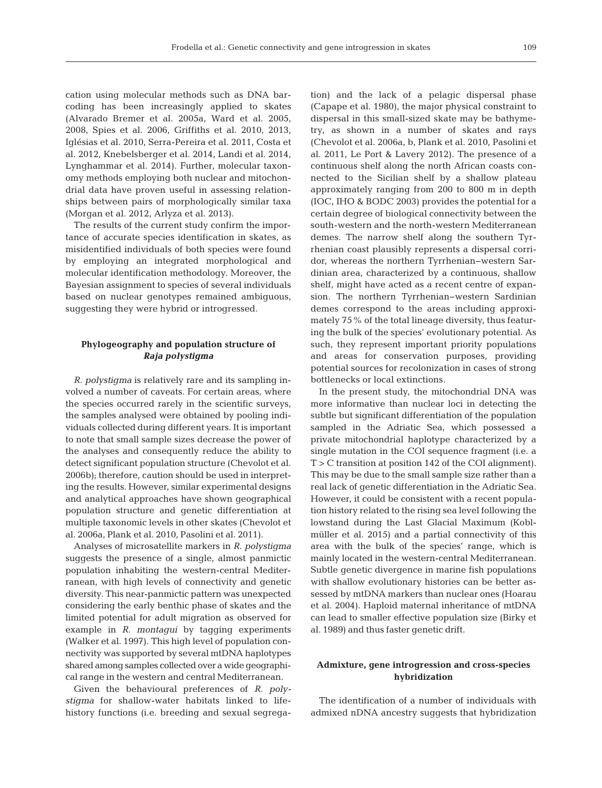cation using molecular methods such as DNA barcoding has been increasingly applied to skates (Alvarado Bremer et al. 2005a, Ward et al. 2005, 2008, Spies et al. 2006, Griffiths et al. 2010, 2013, Iglésias et al. 2010, Serra-Pereira et al. 2011, Costa et al. 2012, Knebelsberger et al. 2014, Landi et al. 2014, Lynghammar et al. 2014). Further, molecular taxonomy methods employing both nuclear and mitochondrial data have proven useful in assessing relationships between pairs of morphologically similar taxa (Morgan et al. 2012, Arlyza et al. 2013).

The results of the current study confirm the importance of accurate species identification in skates, as misidentified individuals of both species were found by employing an integrated morphological and molecular identification methodology. Moreover, the Bayesian assignment to species of several individuals based on nuclear genotypes remained ambiguous, suggesting they were hybrid or introgressed.

# **Phylogeography and population structure of** *Raja polystigma*

*R. polystigma* is relatively rare and its sampling involved a number of caveats. For certain areas, where the species occurred rarely in the scientific surveys, the samples analysed were obtained by pooling individuals collected during different years. It is important to note that small sample sizes decrease the power of the analyses and consequently reduce the ability to detect significant population structure (Chevolot et al. 2006b); therefore, caution should be used in interpreting the results. However, similar experimental designs and analytical approaches have shown geographical population structure and genetic differentiation at multiple taxonomic levels in other skates (Chevolot et al. 2006a, Plank et al. 2010, Pasolini et al. 2011).

Analyses of microsatellite markers in *R. polystigma* suggests the presence of a single, almost panmictic population inhabiting the western-central Mediterranean, with high levels of connectivity and genetic diversity. This near-panmictic pattern was unexpected considering the early benthic phase of skates and the limited potential for adult migration as observed for example in *R. montagui* by tagging experiments (Walker et al. 1997). This high level of population connectivity was supported by several mtDNA haplotypes shared among samples collected over a wide geographi cal range in the western and central Mediterranean.

Given the behavioural preferences of *R. polystigma* for shallow-water habitats linked to lifehistory functions (i.e. breeding and sexual segregation) and the lack of a pelagic dispersal phase (Capape et al. 1980), the major physical constraint to dispersal in this small-sized skate may be bathymetry, as shown in a number of skates and rays (Chevolot et al. 2006a, b, Plank et al. 2010, Pasolini et al. 2011, Le Port & Lavery 2012). The presence of a continuous shelf along the north African coasts connected to the Sicilian shelf by a shallow plateau approximately ranging from 200 to 800 m in depth (IOC, IHO & BODC 2003) provides the potential for a certain degree of biological connectivity between the south-western and the north-western Mediterranean demes. The narrow shelf along the southern Tyrrhenian coast plausibly represents a dispersal corridor, whereas the northern Tyrrhenian−western Sardinian area, characterized by a continuous, shallow shelf, might have acted as a recent centre of expansion. The northern Tyrrhenian− western Sardinian demes correspond to the areas including approximately 75% of the total lineage diversity, thus featuring the bulk of the species' evolutionary potential. As such, they represent important priority populations and areas for conservation purposes, providing potential sources for recolonization in cases of strong bottlenecks or local extinctions.

In the present study, the mitochondrial DNA was more informative than nuclear loci in detecting the subtle but significant differentiation of the population sampled in the Adriatic Sea, which possessed a private mitochondrial haplotype characterized by a single mutation in the COI sequence fragment (i.e. a T > C transition at position 142 of the COI alignment). This may be due to the small sample size rather than a real lack of genetic differentiation in the Adriatic Sea. However, it could be consistent with a recent population history related to the rising sea level following the lowstand during the Last Glacial Maximum (Koblmüller et al. 2015) and a partial connectivity of this area with the bulk of the species' range, which is mainly located in the western-central Mediterranean. Subtle genetic divergence in marine fish populations with shallow evolutionary histories can be better assessed by mtDNA markers than nuclear ones (Hoarau et al. 2004). Haploid maternal inheritance of mtDNA can lead to smaller effective population size (Birky et al. 1989) and thus faster genetic drift.

## **Admixture, gene introgression and cross-species hybridization**

The identification of a number of individuals with admixed nDNA ancestry suggests that hybridization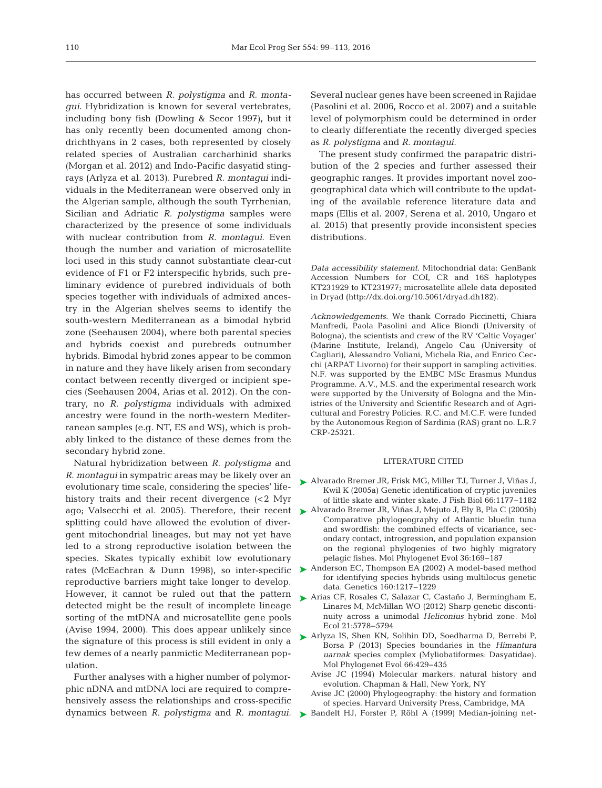has occurred between *R. polystigma* and *R. monta gui.* Hybridization is known for several vertebrates, including bony fish (Dowling & Secor 1997), but it has only recently been documented among chondrichthyans in 2 cases, both represented by closely related species of Australian carcharhinid sharks (Morgan et al. 2012) and Indo-Pacific dasyatid sting rays (Arlyza et al. 2013). Purebred *R. montagui* individuals in the Mediterranean were observed only in the Algerian sample, although the south Tyrrhenian, Sicilian and Adriatic *R. polystigma* samples were characterized by the presence of some individuals with nuclear contribution from *R. montagui*. Even though the number and variation of microsatellite loci used in this study cannot substantiate clear-cut evidence of F1 or F2 interspecific hybrids, such preliminary evidence of purebred individuals of both species together with individuals of admixed ancestry in the Algerian shelves seems to identify the south-western Mediterranean as a bimodal hybrid zone (Seehausen 2004), where both parental species and hybrids coexist and purebreds outnumber hybrids. Bimodal hybrid zones appear to be common in nature and they have likely arisen from secondary contact between recently diverged or incipient species (Seehausen 2004, Arias et al. 2012). On the contrary, no *R. polystigma* individuals with admixed ancestry were found in the north-western Mediterranean samples (e.g. NT, ES and WS), which is probably linked to the distance of these demes from the secondary hybrid zone.

Natural hybridization between *R. polystigma* and *R. montagui* in sympatric areas may be likely over an evolutionary time scale, considering the species' lifehistory traits and their recent divergence (<2 Myr splitting could have allowed the evolution of divergent mitochondrial lineages, but may not yet have led to a strong reproductive isolation between the species. Skates typically exhibit low evolutionary reproductive barriers might take longer to develop. However, it cannot be ruled out that the pattern detected might be the result of incomplete lineage sorting of the mtDNA and microsatellite gene pools (Avise 1994, 2000). This does appear unlikely since the signature of this process is still evident in only a few demes of a nearly panmictic Mediterranean population.

Further analyses with a higher number of polymorphic nDNA and mtDNA loci are required to comprehensively assess the relationships and cross-specific dynamics between *R. polystigma* and *R. montagui.* [Bandelt HJ, Forster P, Röhl A \(1999\) Median-joining net-](http://dx.doi.org/10.1093/oxfordjournals.molbev.a026036)➤

Several nuclear genes have been screened in Rajidae (Pasolini et al. 2006, Rocco et al. 2007) and a suitable level of polymorphism could be determined in order to clearly differentiate the recently diverged species as *R. polystigma* and *R. montagui.*

The present study confirmed the parapatric distribution of the 2 species and further assessed their geographic ranges. It provides important novel zoogeographical data which will contribute to the updating of the available reference literature data and maps (Ellis et al. 2007, Serena et al. 2010, Ungaro et al. 2015) that presently provide inconsistent species distributions.

*Data accessibility statement*. Mitochondrial data: GenBank Accession Numbers for COI, CR and 16S haplotypes KT231929 to KT231977; microsatellite allele data deposited in Dryad (http://dx.doi.org/10.5061/dryad.dh182).

*Acknowledgements*. We thank Corrado Piccinetti, Chiara Manfredi, Paola Pasolini and Alice Biondi (University of Bologna), the scientists and crew of the RV 'Celtic Voyager' (Marine Institute, Ireland), Angelo Cau (University of Cagliari), Alessandro Voliani, Michela Ria, and Enrico Cecchi (ARPAT Livorno) for their support in sampling activities. N.F. was supported by the EMBC MSc Erasmus Mundus Programme. A.V., M.S. and the experimental research work were supported by the University of Bologna and the Ministries of the University and Scientific Research and of Agricultural and Forestry Policies. R.C. and M.C.F. were funded by the Autonomous Region of Sardinia (RAS) grant no. L.R.7 CRP-25321.

# LITERATURE CITED

- [Alvarado Bremer JR, Frisk MG, Miller TJ, Turner J, Viñas J,](http://dx.doi.org/10.1111/j.0022-1112.2005.00664.x) ➤ Kwil K (2005a) Genetic identification of cryptic juveniles of little skate and winter skate. J Fish Biol 66: 1177−1182
- ago; Valsecchi et al. 2005). Therefore, their recent > [Alvarado Bremer JR, Viñas J, Mejuto J, Ely B, Pla C \(2005b\)](http://dx.doi.org/10.1016/j.ympev.2004.12.011) Comparative phylogeography of Atlantic bluefin tuna and swordfish: the combined effects of vicariance, secondary contact, introgression, and population expansion on the regional phylogenies of two highly migratory pelagic fishes. Mol Phylogenet Evol 36: 169−187
- rates (McEachran & Dunn 1998), so inter-specific  $\triangleright$  [Anderson EC, Thompson EA \(2002\) A model-based method](http://www.ncbi.nlm.nih.gov/entrez/query.fcgi?cmd=Retrieve&db=PubMed&list_uids=11901135&dopt=Abstract) for identifying species hybrids using multilocus genetic data. Genetics 160: 1217−1229
	- ▶ [Arias CF, Rosales C, Salazar C, Castaño J, Bermingham E,](http://dx.doi.org/10.1111/j.1365-294X.2012.05746.x) Linares M, McMillan WO (2012) Sharp genetic discontinuity across a unimodal *Heliconius* hybrid zone. Mol Ecol 21: 5778−5794
	- [Arlyza IS, Shen KN, Solihin DD, Soedharma D, Berrebi P,](http://dx.doi.org/10.1016/j.ympev.2012.09.023) ➤ Borsa P (2013) Species boundaries in the *Himantura uarnak* species complex (Myliobatiformes: Dasyatidae). Mol Phylogenet Evol 66:429-435
		- Avise JC (1994) Molecular markers, natural history and evolution. Chapman & Hall, New York, NY
		- Avise JC (2000) Phylogeography: the history and formation of species. Harvard University Press, Cambridge, MA
		-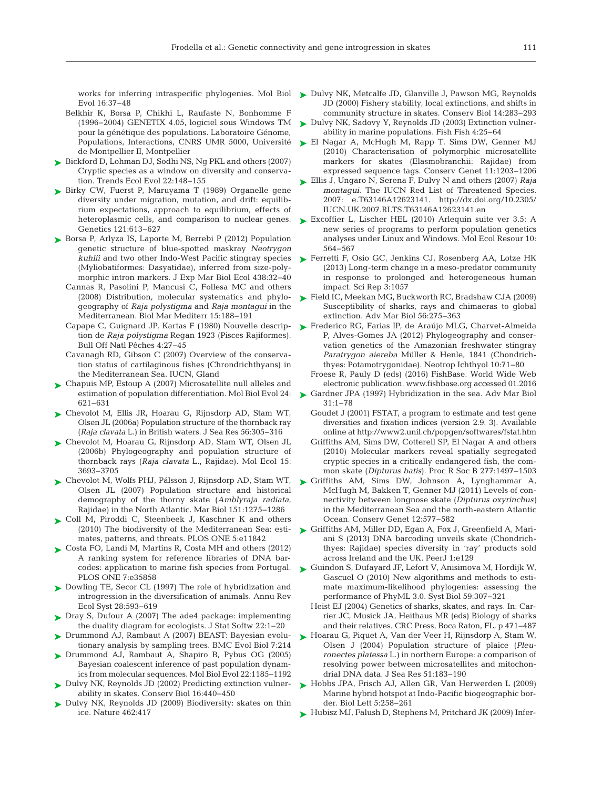Evol 16: 37−48

- Belkhir K, Borsa P, Chikhi L, Raufaste N, Bonhomme F (1996−2004) GENETIX 4.05, logiciel sous Windows TM pour la génétique des populations. Laboratoire Génome, Populations, Interactions, CNRS UMR 5000, Université de Montpellier II, Montpellier
- [Bickford D, Lohman DJ, Sodhi NS, Ng PKL and others \(2007\)](http://dx.doi.org/10.1016/j.tree.2006.11.004) ➤ Cryptic species as a window on diversity and conservation. Trends Ecol Evol 22: 148−155
- ▶ [Birky CW, Fuerst P, Maruyama T \(1989\) Organelle gene](http://www.ncbi.nlm.nih.gov/entrez/query.fcgi?cmd=Retrieve&db=PubMed&list_uids=2714640&dopt=Abstract) diversity under migration, mutation, and drift: equilibrium expectations, approach to equilibrium, effects of heteroplasmic cells, and comparison to nuclear genes. Genetics 121:613-627
- ► [Borsa P, Arlyza IS, Laporte M, Berrebi P \(2012\) Population](http://dx.doi.org/10.1016/j.jembe.2012.09.010) genetic structure of blue-spotted maskray *Neotrygon kuhlii* and two other Indo-West Pacific stingray species (Myliobatiformes: Dasyatidae), inferred from size-polymorphic intron markers. J Exp Mar Biol Ecol 438:32-40
	- Cannas R, Pasolini P, Mancusi C, Follesa MC and others (2008) Distribution, molecular systematics and phylogeography of *Raja polystigma* and *Raja montagui* in the Mediterranean. Biol Mar Mediterr 15: 188−191
	- Capape C, Guignard JP, Kartas F (1980) Nouvelle description de *Raja polystigma* Regan 1923 (Pisces Rajiformes). Bull Off Natl Pêches 4:27-45
	- Cavanagh RD, Gibson C (2007) Overview of the conservation status of cartilaginous fishes (Chrondrichthyans) in the Mediterranean Sea. IUCN, Gland
- ▶ [Chapuis MP, Estoup A \(2007\) Microsatellite null alleles and](http://dx.doi.org/10.1093/molbev/msl191) estimation of population differentiation. Mol Biol Evol 24: 621−631
- [Chevolot M, Ellis JR, Hoarau G, Rijnsdorp AD, Stam WT,](http://dx.doi.org/10.1016/j.seares.2006.05.005) ➤ Olsen JL (2006a) Population structure of the thornback ray (*Raja clavata* L.) in British waters. J Sea Res 56: 305−316
- [Chevolot M, Hoarau G, Rijnsdorp AD, Stam WT, Olsen JL](http://dx.doi.org/10.1111/j.1365-294X.2006.03043.x) ➤ (2006b) Phylogeography and population structure of thornback rays (*Raja clavata* L., Rajidae). Mol Ecol 15: 3693−3705
- [Chevolot M, Wolfs PHJ, Pálsson J, Rijnsdorp AD, Stam WT,](http://dx.doi.org/10.1007/s00227-006-0556-1) ➤ Olsen JL (2007) Population structure and historical demography of the thorny skate (*Amblyraja radiata*, Rajidae) in the North Atlantic. Mar Biol 151: 1275−1286
- ► [Coll M, Piroddi C, Steenbeek J, Kaschner K and others](http://www.ncbi.nlm.nih.gov/entrez/query.fcgi?cmd=Retrieve&db=PubMed&list_uids=20689844&dopt=Abstract) (2010) The biodiversity of the Mediterranean Sea: estimates, patterns, and threats. PLOS ONE 5:e11842
- ► [Costa FO, Landi M, Martins R, Costa MH and others \(2012\)](http://dx.doi.org/10.1371/journal.pone.0035858) A ranking system for reference libraries of DNA barcodes: application to marine fish species from Portugal. PLOS ONE 7:e35858
- ▶ [Dowling TE, Secor CL \(1997\) The role of hybridization and](http://dx.doi.org/10.1146/annurev.ecolsys.28.1.593) introgression in the diversification of animals. Annu Rev Ecol Syst 28: 593−619
- ► Dray S, Dufour A (2007) The ade4 package: implementing the duality diagram for ecologists. J Stat Softw 22: 1−20
- ▶ Drummond AJ, Rambaut A (2007) BEAST: Bayesian evolutionary analysis by sampling trees. BMC Evol Biol 7:214
- ▶ [Drummond AJ, Rambaut A, Shapiro B, Pybus OG \(2005\)](http://dx.doi.org/10.1093/molbev/msi103) Bayesian coalescent inference of past population dynamics from molecular sequences. Mol Biol Evol 22: 1185−1192
- ▶ [Dulvy NK, Reynolds JD \(2002\) Predicting extinction vulner](http://dx.doi.org/10.1046/j.1523-1739.2002.00416.x)ability in skates. Conserv Biol 16: 440−450
- ▶ Dulvy NK, Reynolds JD (2009) Biodiversity: skates on thin ice. Nature 462:417
- works for inferring intraspecific phylogenies. Mol Biol > [Dulvy NK, Metcalfe JD, Glanville J, Pawson MG, Reynolds](http://dx.doi.org/10.1046/j.1523-1739.2000.98540.x) JD (2000) Fishery stability, local extinctions, and shifts in community structure in skates. Conserv Biol 14: 283−293
	- ► [Dulvy NK, Sadovy Y, Reynolds JD \(2003\) Extinction vulner](http://dx.doi.org/10.1046/j.1467-2979.2003.00105.x)ability in marine populations. Fish Fish 4: 25−64
	- ► [El Nagar A, McHugh M, Rapp T, Sims DW, Genner MJ](http://dx.doi.org/10.1007/s10592-009-9919-8) (2010) Characterisation of polymorphic microsatellite markers for skates (Elasmobranchii: Rajidae) from expressed sequence tags. Conserv Genet 11: 1203−1206
	- ► [Ellis J, Ungaro N, Serena F, Dulvy N and others \(2007\)](http://dx.doi.org/10.2305/IUCN.UK.2007.RLTS.T63146A12623141.en) *Raja montagui*. The IUCN Red List of Threatened Species. 2007: e.T63146A12623141. http://dx.doi.org/10.2305/ IUCN.UK.2007.RLTS.T63146A12623141.en
	- ► [Excoffier L, Lischer HEL \(2010\) Arlequin suite ver 3.5: A](http://dx.doi.org/10.1111/j.1755-0998.2010.02847.x) new series of programs to perform population genetics analyses under Linux and Windows. Mol Ecol Resour 10: 564−567
	- ▶ [Ferretti F, Osio GC, Jenkins CJ, Rosenberg AA, Lotze HK](http://dx.doi.org/10.1038/srep01057) (2013) Long-term change in a meso-predator community in response to prolonged and heterogeneous human impact. Sci Rep 3: 1057
	- [Field IC, Meekan MG, Buckworth RC, Bradshaw CJA \(2009\)](http://dx.doi.org/10.1016/S0065-2881(09)56004-X) ➤ Susceptibility of sharks, rays and chimaeras to global extinction. Adv Mar Biol 56:275-363
	- [Frederico RG, Farias IP, de Araújo MLG, Charvet-Almeida](http://dx.doi.org/10.1590/S1679-62252012000100007) ➤ P, Alves-Gomes JA (2012) Phylogeography and conservation genetics of the Amazonian freshwater stingray *Paratrygon aiereba* Müller & Henle, 1841 (Chondrichthyes: Potamotrygonidae). Neotrop Ichthyol 10:71−80
		- Froese R, Pauly D (eds) (2016) FishBase. World Wide Web electronic publication. www.fishbase.org accessed 01.2016
	- ► [Gardner JPA \(1997\) Hybridization in the sea. Adv Mar Biol](http://dx.doi.org/10.1016/S0065-2881(08)60221-7) 31: 1−78
		- Goudet J (2001) FSTAT, a program to estimate and test gene diversities and fixation indices (version 2.9. 3). Available online at http://www2.unil.ch/popgen/softwares/fstat.htm
		- Griffiths AM, Sims DW, Cotterell SP, El Nagar A and others (2010) Molecular markers reveal spatially segregated cryptic species in a critically endangered fish, the common skate (*Dipturus batis*). Proc R Soc B 277: 1497−1503
	- [Griffiths AM, Sims DW, Johnson A, Lynghammar A,](http://dx.doi.org/10.1007/s10592-010-0127-3) ➤ McHugh M, Bakken T, Genner MJ (2011) Levels of connectivity between longnose skate (*Dipturus oxyrinchus)* in the Mediterranean Sea and the north-eastern Atlantic Ocean. Conserv Genet 12:577-582
	- ▶ [Griffiths AM, Miller DD, Egan A, Fox J, Greenfield A, Mari](http://dx.doi.org/10.7717/peerj.129)ani S (2013) DNA barcoding unveils skate (Chondrichthyes: Rajidae) species diversity in 'ray' products sold across Ireland and the UK. PeerJ 1:e129
	- ► [Guindon S, Dufayard JF, Lefort V, Anisimova M, Hordijk W,](http://dx.doi.org/10.1093/sysbio/syq010) Gascuel O (2010) New algorithms and methods to estimate maximum-likelihood phylogenies: assessing the performance of PhyML 3.0. Syst Biol 59:307-321
		- Heist EJ (2004) Genetics of sharks, skates, and rays. In:Carrier JC, Musick JA, Heithaus MR (eds) Biology of sharks and their relatives. CRC Press, Boca Raton, FL, p 471−487
	- ▶ [Hoarau G, Piquet A, Van der Veer H, Rijnsdorp A, Stam W,](http://dx.doi.org/10.1016/j.seares.2003.12.002) Olsen J (2004) Population structure of plaice (*Pleuronectes platessa* L.) in northern Europe: a comparison of resolving power between microsatellites and mitochondrial DNA data. J Sea Res 51: 183−190
	- ▶ [Hobbs JPA, Frisch AJ, Allen GR, Van Herwerden L \(2009\)](http://dx.doi.org/10.1098/rsbl.2008.0561) Marine hybrid hotspot at Indo-Pacific biogeographic border. Biol Lett 5: 258−261
	- ► [Hubisz MJ, Falush D, Stephens M, Pritchard JK \(2009\) Infer-](http://dx.doi.org/10.1111/j.1755-0998.2009.02591.x)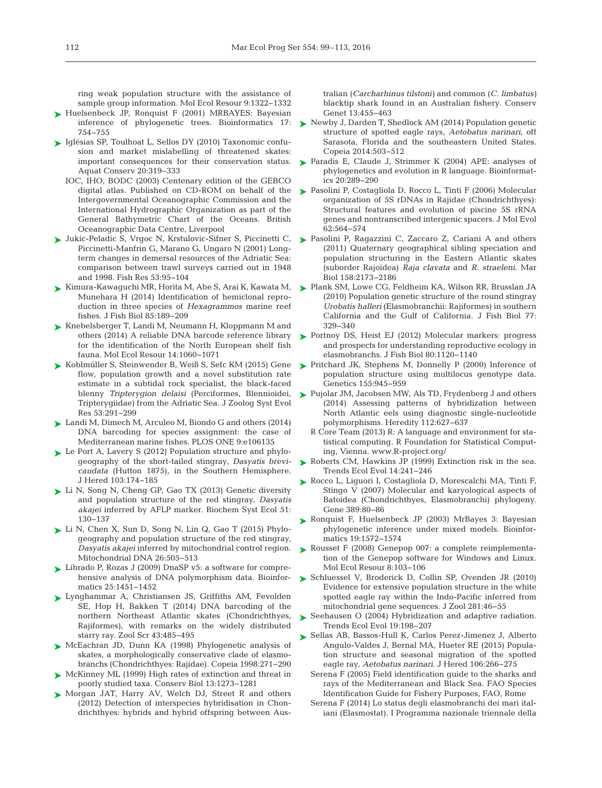ring weak population structure with the assistance of sample group information. Mol Ecol Resour 9:1322-1332

- ► [Huelsenbeck JP, Ronquist F \(2001\) MRBAYES: Bayesian](http://dx.doi.org/10.1093/bioinformatics/17.8.754) inference of phylogenetic trees. Bioinformatics 17: 754−755
- ► [Iglésias SP, Toulhoat L, Sellos DY \(2010\) Taxonomic confu](http://dx.doi.org/10.1002/aqc.1083)sion and market mislabelling of threatened skates: important consequences for their conservation status. Aquat Conserv 20: 319−333
	- IOC, IHO, BODC (2003) Centenary edition of the GEBCO digital atlas. Published on CD-ROM on behalf of the Intergovernmental Oceanographic Commission and the International Hydrographic Organization as part of the General Bathymetric Chart of the Oceans. British Oceanographic Data Centre, Liverpool
- ► [Jukic-Peladic S, Vrgoc N, Krstulovic-Sifner S, Piccinetti C,](http://dx.doi.org/10.1016/S0165-7836(00)00232-0) ► [Pasolini P, Ragazzini C, Zaccaro Z, Cariani A and others](http://dx.doi.org/10.1007/s00227-011-1722-7) Piccinetti-Manfrin G, Marano G, Ungaro N (2001) Longterm changes in demersal resources of the Adriatic Sea: comparison between trawl surveys carried out in 1948 and 1998. Fish Res 53: 95−104
- [Kimura-Kawaguchi MR, Horita M, Abe S, Arai K, Kawata M,](http://dx.doi.org/10.1111/jfb.12414) ➤ Munehara H (2014) Identification of hemiclonal reproduction in three species of *Hexagrammos* marine reef fishes. J Fish Biol 85: 189−209
- ► [Knebelsberger T, Landi M, Neumann H, Kloppmann M and](http://www.ncbi.nlm.nih.gov/entrez/query.fcgi?cmd=Retrieve&db=PubMed&list_uids=24618145&dopt=Abstract) others (2014) A reliable DNA barcode reference library for the identification of the North European shelf fish fauna. Mol Ecol Resour 14: 1060−1071
- ► [Koblmüller S, Steinwender B, Weiß S, Sefc KM \(2015\) Gene](http://dx.doi.org/10.1111/jzs.12110) flow, population growth and a novel substitution rate estimate in a subtidal rock specialist, the black-faced blenny *Tripterygion delaisi* (Perciformes, Blennioidei, Tripterygiidae) from the Adriatic Sea. J Zoolog Syst Evol Res 53: 291−299
- ► [Landi M, Dimech M, Arculeo M, Biondo G and others \(2014\)](http://dx.doi.org/10.1371/journal.pone.0106135) DNA barcoding for species assignment: the case of Mediterranean marine fishes. PLOS ONE 9:e106135
- ► [Le Port A, Lavery S \(2012\) Population structure and phylo](http://www.ncbi.nlm.nih.gov/entrez/query.fcgi?cmd=Retrieve&db=PubMed&list_uids=22174443&dopt=Abstract)geography of the short-tailed stingray, *Dasyatis brevicaudata* (Hutton 1875), in the Southern Hemisphere. J Hered 103: 174−185
- ► [Li N, Song N, Cheng GP, Gao TX \(2013\) Genetic diversity](http://dx.doi.org/10.1016/j.bse.2013.08.009) and population structure of the red stingray, *Dasyatis akajei* inferred by AFLP marker. Biochem Syst Ecol 51: 130−137
- ► [Li N, Chen X, Sun D, Song N, Lin Q, Gao T \(2015\) Phylo](http://dx.doi.org/10.3109/19401736.2013.861423)geography and population structure of the red stingray, *Dasyatis akajei* inferred by mitochondrial control region. Mitochondrial DNA 26:505-513
- ► Librado P, Rozas J (2009) DnaSP v5: a software for comprehensive analysis of DNA polymorphism data. Bioinformatics 25: 1451−1452
- [Lynghammar A, Christiansen JS, Griffiths AM, Fevolden](http://dx.doi.org/10.1111/zsc.12064) ➤ SE, Hop H, Bakken T (2014) DNA barcoding of the northern Northeast Atlantic skates (Chondrichthyes, Rajiformes), with remarks on the widely distributed starry ray. Zool Scr 43: 485−495
- ▶ [McEachran JD, Dunn KA \(1998\) Phylogenetic analysis of](http://dx.doi.org/10.2307/1447424) skates, a morphologically conservative clade of elasmobranchs (Chondrichthyes: Rajidae). Copeia 1998: 271−290
- ▶ [McKinney ML \(1999\) High rates of extinction and threat in](http://dx.doi.org/10.1046/j.1523-1739.1999.97393.x) poorly studied taxa. Conserv Biol 13: 1273−1281
- ▶ [Morgan JAT, Harry AV, Welch DJ, Street R and others](http://dx.doi.org/10.1007/s10592-011-0298-6) (2012) Detection of interspecies hybridisation in Chondrichthyes: hybrids and hybrid offspring between Aus-

tralian (*Carcharhinus tilstoni)* and common (*C. limbatus)* blacktip shark found in an Australian fishery. Conserv Genet 13:455-463

- ► [Newby J, Darden T, Shedlock AM \(2014\) Population genetic](http://dx.doi.org/10.1643/CG-13-122) structure of spotted eagle rays, *Aetobatus narinari*, off Sarasota, Florida and the southeastern United States. Copeia 2014:503-512
- ▶ [Paradis E, Claude J, Strimmer K \(2004\) APE: analyses of](http://dx.doi.org/10.1093/bioinformatics/btg412) phylogenetics and evolution in R language. Bioinformatics 20: 289−290
- ► [Pasolini P, Costagliola D, Rocco L, Tinti F \(2006\) Molecular](http://dx.doi.org/10.1007/s00239-005-0118-z) organization of 5S rDNAs in Rajidae (Chondrichthyes): Structural features and evolution of piscine 5S rRNA genes and nontranscribed intergenic spacers. J Mol Evol 62: 564−574
- (2011) Quaternary geographical sibling speciation and population structuring in the Eastern Atlantic skates (suborder Rajoidea) *Raja clavata* and *R. straeleni*. Mar Biol 158:2173-2186
- [Plank SM, Lowe CG, Feldheim KA, Wilson RR, Brusslan JA](http://dx.doi.org/10.1111/j.1095-8649.2010.02677.x) ➤ (2010) Population genetic structure of the round stingray *Urobatis halleri* (Elasmobranchii: Rajiformes) in southern California and the Gulf of California. J Fish Biol 77: 329−340
- ▶ [Portnoy DS, Heist EJ \(2012\) Molecular markers: progress](http://dx.doi.org/10.1111/j.1095-8649.2011.03206.x) and prospects for understanding reproductive ecology in elasmobranchs. J Fish Biol 80: 1120−1140
- ▶ [Pritchard JK, Stephens M, Donnelly P \(2000\) Inference of](http://www.ncbi.nlm.nih.gov/entrez/query.fcgi?cmd=Retrieve&db=PubMed&list_uids=10835412&dopt=Abstract) population structure using multilocus genotype data. Genetics 155: 945−959
- ► [Pujolar JM, Jacobsen MW, Als TD, Frydenberg J and others](http://dx.doi.org/10.1038/hdy.2013.145) (2014) Assessing patterns of hybridization between North Atlantic eels using diagnostic single-nucleotide polymorphisms. Heredity 112:627-637
	- R Core Team (2013) R: A language and environment for statistical computing. R Foundation for Statistical Computing, Vienna. www.R-project.org/
- ▶ [Roberts CM, Hawkins JP \(1999\) Extinction risk in the sea.](http://dx.doi.org/10.1016/S0169-5347(98)01584-5) Trends Ecol Evol 14:241-246
- ▶ [Rocco L, Liguori I, Costagliola D, Morescalchi MA, Tinti F,](http://dx.doi.org/10.1016/j.gene.2006.09.024) Stingo V (2007) Molecular and karyological aspects of Batoidea (Chondrichthyes, Elasmobranchi) phylogeny. Gene 389:80-86
- ▶ [Ronquist F, Huelsenbeck JP \(2003\) MrBayes 3: Bayesian](http://dx.doi.org/10.1093/bioinformatics/btg180) phylogenetic inference under mixed models. Bioinformatics 19: 1572−1574
- ► Rousset F (2008) Genepop 007: a complete reimplementation of the Genepop software for Windows and Linux. Mol Ecol Resour 8: 103−106
- ▶ [Schluessel V, Broderick D, Collin SP, Ovenden JR \(2010\)](http://dx.doi.org/10.1111/j.1469-7998.2009.00680.x) Evidence for extensive population structure in the white spotted eagle ray within the Indo-Pacific inferred from mitochondrial gene sequences. J Zool 281:46-55
- ▶ [Seehausen O \(2004\) Hybridization and adaptive radiation.](http://dx.doi.org/10.1016/j.tree.2004.01.003) Trends Ecol Evol 19: 198−207
- ▶ [Sellas AB, Bassos-Hull K, Carlos Perez-Jimenez J, Alberto](http://dx.doi.org/10.1093/jhered/esv011) Angulo-Valdes J, Bernal MA, Hueter RE (2015) Population structure and seasonal migration of the spotted eagle ray, *Aetobatus narinari*. J Hered 106:266-275
	- Serena F (2005) Field identification guide to the sharks and rays of the Mediterranean and Black Sea. FAO Species Identification Guide for Fishery Purposes, FAO, Rome
	- Serena F (2014) Lo status degli elasmobranchi dei mari italiani (Elasmostat). I Programma nazionale triennale della